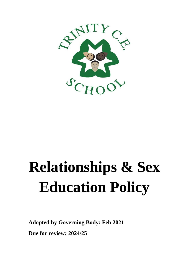

# **Relationships & Sex Education Policy**

**Adopted by Governing Body: Feb 2021 Due for review: 2024/25**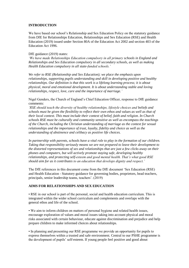## **INTRODUCTION**

We have based our school's Relationship and Sex Education Policy on the statutory guidance from DfE for Relationships Education, Relationships and Sex Education (RSE) and Health Education (2019) issued under Section 80A of the Education Act 2002 and section 403 of the Education Act 1996.

#### DfE guidance (2019) states:

*'We have made Relationships Education compulsory in all primary schools in England and Relationships and Sex Education compulsory in all secondary schools, as well as making Health Education compulsory in all state-funded schools.'* 

*We refer to RSE (Relationship and Sex Education); we place the emphasis upon relationships, supporting pupils understanding and skill in developing positive and healthy relationships. Our definition is that this work is a lifelong learning process; it is about physical, moral and emotional development. It is about understanding stable and loving relationships, respect, love, care and the importance of marriage.'*

Nigel Genders, the Church of England's Chief Education Officer, response to DfE guidance comments:

*'RSE should teach the diversity of healthy relationships, lifestyle choices and beliefs and schools must be given the flexibility to reflect their own ethos and values as well as that of their local context. This must include their context of belief, faith and religion. In Church schools RSE must be culturally and community sensitive as well as encompass the teachings of the Church, including the Christian understanding of marriage as the context for sexual relationships and the importance of trust, loyalty, fidelity and choice as well as the understanding of abstinence and celibacy as positive life choices.* 

*In partnership with parents, schools have a vital role to play in the formation of our children. Taking that responsibility seriously means we are not prepared to leave their development to the distorted representations of sex and relationships that are just a few clicks away on their phones and computers, but will actively promote staying safe, developing healthy relationships, and protecting self-esteem and good mental health. That's what good RSE should aim for as it contributes to an education that develops dignity and respect.'* 

The DfE references in this document come from the DfE document 'Sex Education (RSE) and Health Education - Statutory guidance for governing bodies, proprietors, head teachers, principals, senior leadership teams, teachers'. (2019)

## **AIMS FOR RELATIONSHIPS AND SEX EDUCATION**

• RSE in our school is part of the personal, social and health education curriculum. This is integrated within the wider school curriculum and complements and overlaps with the general ethos and life of the school.

• We aim to inform children on matters of personal hygiene and related health issues, encourage exploration of values and moral issues taking into account physical and moral risks associated with certain behaviour, educate against discrimination and prejudice and help prepare children to make informed choices about relationships.

• In planning and presenting our RSE programme we provide an opportunity for pupils to express themselves within a trusted and safe environment. Central to our PSHE programme is the development of pupils' self-esteem. If young people feel positive and good about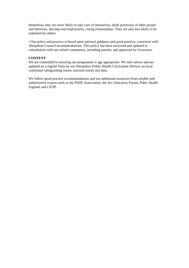themselves they are more likely to take care of themselves, think positively of other people and therefore, develop non-exploitative, caring relationships. They are also less likely to be exploited by others.

• Our policy and practice is based upon national guidance and good practice, consistent with Shropshire Council recommendations. This policy has been reviewed and updated in consultation with our school community, including parents, and approved by Governors.

## **CONTENT**

We are committed to ensuring our programme is age appropriate. We take advice and are updated on a regular basis by our Shropshire Public Health Curriculum Advisor on local contextual safeguarding issues, national trends and data.

We follow good practice recommendations and use additional resources from reliable and authoritative experts such as the PSHE Association, the Sex Education Forum, Pubic Health England and CEOP.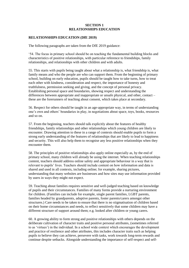#### **SECTION 1 RELATIONSHIPS EDUCATION**

## **RELATIONSHIPS EDUCATION (DfE 2019)**

The following paragraphs are taken from the DfE 2019 guidance:

'54. The focus in primary school should be on teaching the fundamental building blocks and characteristics of positive relationships, with particular reference to friendships, family relationships, and relationships with other children and with adults.

55. This starts with pupils being taught about what a relationship is, what friendship is, what family means and who the people are who can support them. From the beginning of primary school, building on early education, pupils should be taught how to take turns, how to treat each other with kindness, consideration and respect, the importance of honesty and truthfulness, permission seeking and giving, and the concept of personal privacy. Establishing personal space and boundaries, showing respect and understanding the differences between appropriate and inappropriate or unsafe physical, and other, contact – these are the forerunners of teaching about consent, which takes place at secondary.

56. Respect for others should be taught in an age-appropriate way, in terms of understanding one's own and others' boundaries in play, in negotiations about space, toys, books, resources and so on.

57. From the beginning, teachers should talk explicitly about the features of healthy friendships, family relationships and other relationships which young children are likely to encounter. Drawing attention to these in a range of contexts should enable pupils to form a strong early understanding of the features of relationships that are likely to lead to happiness and security. This will also help them to recognise any less positive relationships when they encounter them.

58. The principles of positive relationships also apply online especially as, by the end of primary school, many children will already be using the internet. When teaching relationships content, teachers should address online safety and appropriate behaviour in a way that is relevant to pupils' lives. Teachers should include content on how information and data is shared and used in all contexts, including online; for example, sharing pictures, understanding that many websites are businesses and how sites may use information provided by users in ways they might not expect.

59. Teaching about families requires sensitive and well-judged teaching based on knowledge of pupils and their circumstances. Families of many forms provide a nurturing environment for children. (Families can include for example, single parent families, LGBT parents, families headed by grandparents, adoptive parents, foster parents/carers amongst other structures.) Care needs to be taken to ensure that there is no stigmatisation of children based on their home circumstances and needs, to reflect sensitively that some children may have a different structure of support around them; e.g. looked after children or young carers.

60. A growing ability to form strong and positive relationships with others depends on the deliberate cultivation of character traits and positive personal attributes, (sometimes referred to as 'virtues') in the individual. In a school wide context which encourages the development and practice of resilience and other attributes, this includes character traits such as helping pupils to believe they can achieve, persevere with tasks, work towards long-term rewards and continue despite setbacks. Alongside understanding the importance of self-respect and self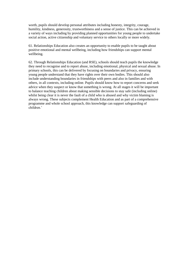worth, pupils should develop personal attributes including honesty, integrity, courage, humility, kindness, generosity, trustworthiness and a sense of justice. This can be achieved in a variety of ways including by providing planned opportunities for young people to undertake social action, active citizenship and voluntary service to others locally or more widely.

61. Relationships Education also creates an opportunity to enable pupils to be taught about positive emotional and mental wellbeing, including how friendships can support mental wellbeing.

62. Through Relationships Education (and RSE), schools should teach pupils the knowledge they need to recognise and to report abuse, including emotional, physical and sexual abuse. In primary schools, this can be delivered by focusing on boundaries and privacy, ensuring young people understand that they have rights over their own bodies. This should also include understanding boundaries in friendships with peers and also in families and with others, in all contexts, including online. Pupils should know how to report concerns and seek advice when they suspect or know that something is wrong. At all stages it will be important to balance teaching children about making sensible decisions to stay safe (including online) whilst being clear it is never the fault of a child who is abused and why victim blaming is always wrong. These subjects complement Health Education and as part of a comprehensive programme and whole school approach, this knowledge can support safeguarding of children.'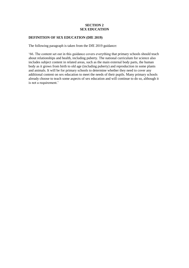## **SECTION 2 SEX EDUCATION**

## **DEFINITION OF SEX EDUCATION (DfE 2019)**

The following paragraph is taken from the DfE 2019 guidance:

'66. The content set out in this guidance covers everything that primary schools should teach about relationships and health, including puberty. The national curriculum for science also includes subject content in related areas, such as the main external body parts, the human body as it grows from birth to old age (including puberty) and reproduction in some plants and animals. It will be for primary schools to determine whether they need to cover any additional content on sex education to meet the needs of their pupils. Many primary schools already choose to teach some aspects of sex education and will continue to do so, although it is not a requirement.'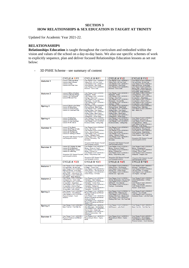## **SECTION 3 HOW RELATIONSHIPS & SEX EDUCATION IS TAUGHT AT TRINITY**

Updated for Academic Year 2021-22.

# **RELATIONASHIPS**

**Relationships Education** is taught throughout the curriculum and embodied within the vision and values of the school on a day-to-day basis. We also use specific schemes of work to explicitly sequence, plan and deliver focused Relationships Education lessons as set out below:

- 3D PSHE Scheme - see summary of content

|                     | <b>CYCLE A R/Y1</b>                                                  | <b>CYCLE B R/Y1</b>                                                |  | <b>CYCLE A Y1/2</b>                                                   | <b>CYCLE B Y1/2</b>                                               |
|---------------------|----------------------------------------------------------------------|--------------------------------------------------------------------|--|-----------------------------------------------------------------------|-------------------------------------------------------------------|
| Autumn 1            | <b>Lesson 1 Hide and Seek</b>                                        | Core Theme 3 Unit 1 LESSON 3:                                      |  | Core Theme 3 Unit 1 LESSON 3:                                         | Core Theme 2 Unit 3 LESSON 1:                                     |
|                     | <b>Lesson 2 Nan's House</b><br>Lesson 3   Like                       | Taking Turns - It's Your Turn!<br>Core Theme 2 Unit 1 LESSON 7:    |  | Taking Turns - It's Your Turn!<br>Core Theme 2 Unit 1 LESSON 7:       | Fair and Unfair - It's Not Fair!<br>Core Theme 2 Unit 3 LESSON 4: |
|                     | <b>Lesson 4 It's Your Turn</b>                                       | Good Manners - How Rude!                                           |  | Good Manners - How Rude!                                              | Right and Wrong - In the Right<br>Core Theme 1 Unit 5 LESSON 7:   |
|                     |                                                                      | Core Theme 2 Unit 3 LESSON 6:                                      |  | Core Theme 2 Unit 3 LESSON 6:                                         |                                                                   |
|                     |                                                                      | Kindness - Give a Little                                           |  | Kindness - Give a Little                                              | Staying Safe - I Don't Know You<br>Core Theme 1 Unit 5 LESSON 3:  |
|                     |                                                                      |                                                                    |  |                                                                       | Drug Safety - Magic Medicine<br>Core Theme 1 Unit 4 LESSON 5:     |
| <b>Autumn 2</b>     | <b>Lesson 5 What a Problem</b><br><b>Lesson 6 Take the Plunge</b>    | Core Theme 1 Unit 4 LESSON 1:<br>Happiness - Smile!                |  | Core Theme 1 Unit 4 LESSON 1:<br>Happiness - Smile!                   | Consequences - Good v Bad                                         |
|                     | <b>Lesson 7 An Old Friend</b><br>Lesson 8 Me and You                 | Core Theme 2 Unit 1 LESSON 1:                                      |  | Core Theme 2 Unit 1 LESSON 1:                                         | Core Theme 2 Unit 1 LESSON 4:                                     |
|                     |                                                                      | Feelings - How I Feel<br>Core Theme 2 Unit 1 LESSON 2:             |  | Feelings - How I Feel<br>Core Theme 2 Unit 1 LESSON 2:                | Co-operation - Negotiation<br>Core Theme 2 Unit 1 LESSON 5:       |
|                     |                                                                      | Responses - You and Me<br>Core Theme 2 Unit 1 LESSON 3:            |  | Responses - You and Me<br>Core Theme 2 Unit 1 LESSON 3:               | Co-operation - Want to Play?<br>Core Theme 2 Unit 1 LESSON 6:     |
|                     |                                                                      | Opinions - I Think.                                                |  | <b>Opinions - I Think</b>                                             | Co-operation - Let's Debatel                                      |
| Spring 3            | <b>Lesson 9 Stick to the Rules</b><br><b>Lesson 10 Rainy Days</b>    | Core Theme 1 Unit 2 LESSON 4:                                      |  | Core Theme 1 Unit 2 LESSON 4:                                         | Core Theme 1 Unit 2 LESSON 5:                                     |
|                     | <b>Lesson 11 I Feely Poorly</b>                                      | Washing Hands - Meet Grub!<br>Core Theme 1 Unit 1 LESSON 1:        |  | Washing Hands - Meet Grub!<br>Core Theme 1 Unit 1 LESSON 1:           | Keeping Clean - Bath-time<br>Core Theme 1 Unit 2 LESSON 6:        |
|                     | <b>Lesson 12 Clean and Tidy</b>                                      | Healthy Eating - Vote Green!<br>Core Theme 1 Unit 1 LESSON 2:      |  | Healthy Eating - Vote Green!<br>Core Theme 1 Unit 1 LESSON 2:         | Skin - Skinny Tip                                                 |
|                     |                                                                      | Healthy Eating - Meat Eaters<br>Core Theme 2 Unit 3 LESSON 2:      |  | <b>Healthy Eating - Meat Eaters</b>                                   |                                                                   |
|                     |                                                                      | Comparisons - All the Same                                         |  | Core Theme 2 Unit 3 LESSON 2:<br>Comparisons - All the Same           |                                                                   |
| <b>Spring 4</b>     | <b>Lesson 13 Bully Boy</b>                                           | Core Theme 1 Unit 5 LESSON 4:                                      |  | Core Theme 1 Unit 5 LESSON 4:                                         | Core Theme 1 Unit 3 LESSON 3:                                     |
|                     | <b>Lesson 14 Family Fun</b><br>Lesson 15 One Gold Star               | Personal Safety - Secret Surprise<br>Core Theme 1 Unit 5 LESSON 5: |  | Personal Safety - Secret Surprise<br>Core Theme 1 Unit 5 LESSON 5:    | Growing Up - All Grown Up<br>Core Theme 1 Unit 3 LESSON 4:        |
|                     | Lesson 16 All Join in                                                | <b>Emotional Safety - Getting Help</b>                             |  | Emotional Safety - Getting Help                                       | Changing Needs - I Need<br>Core Theme 2 Unit 3 LESSON 3:          |
|                     |                                                                      |                                                                    |  |                                                                       | Behaviour - In My Shoes                                           |
| Summer 5            | <b>Lesson 17 I'm Stuck</b>                                           | Core Theme 2 Unit 4 LESSON 5:                                      |  | Core Theme 2 Unit 4 LESSON 5:                                         | Core Theme 1 Unit 2 LESSON 1:                                     |
|                     | Lesson 18 A Piece of Cake                                            | Family - My Family<br>Core Theme 2 Unit 4 LESSON 6:                |  | Family - My Family<br>Core Theme 2 Unit 4 LESSON 6:                   | Dental Hygiene - Brushing Up!<br>Core Theme 1 Unit 2 LESSON 2:    |
|                     | Lesson 19 Busy Body<br>Lesson 20 The New pet                         | Family - Special People<br>Core Theme 3 Unit 1 LESSON 6:           |  | Family - Special People<br>Core Theme 3 Unit 1 LESSON 6:              | Dental Hygiene - Bright White<br>Core Theme 1 Unit 2 LESSON 3:    |
|                     | Lesson 21 Getting in a Knot                                          | Caring - Talking to Plants                                         |  | Caring - Talking to Plants                                            | Dental Hygiene - Top Teeth                                        |
|                     | <b>Shropshire RSE Respect Yourself</b>                               | Core Theme 3 Unit 1 LESSON 4:                                      |  | Core Theme 3 Unit 1 LESSON 4:                                         |                                                                   |
|                     | used alongside scheme.                                               | Lending / Borrowing - The<br><b>Borrowers</b>                      |  | Lending / Borrowing - The<br><b>Borrowers</b>                         | <b>Shropshire RSE Respect Yourself</b><br>used alongside scheme.  |
|                     |                                                                      | <b>Shropshire RSE Respect Yourself</b>                             |  | <b>Shropshire RSE Respect Yourself</b>                                |                                                                   |
|                     |                                                                      | used alongside scheme                                              |  | used alongside scheme.                                                |                                                                   |
| Summer <sub>6</sub> | Lesson 22 E-Safety; Be Safe                                          | Core Theme 3 Unit 3 LESSON 1:                                      |  | Core Theme 3 Unit 3 LESSON 1:                                         | Core Theme 3 Unit 3 LESSON 4:                                     |
|                     | <b>Lesson 23 Eid Mubarak</b><br><b>Lesson 24 Playtime Games</b>      | Money - Grows on Trees?<br>Core Theme 3 Unit 3 LESSON 2:           |  | Money - Grows on Trees?<br>Core Theme 3 Unit 3 LESSON 2:              | Money - Shopping List<br>Core Theme 3 Unit 3 LESSON 5:            |
|                     | <b>Lesson 25 Litter Bug</b>                                          | Money - Coining it in!                                             |  | Money - Coining it in!                                                | Choices - This or That?                                           |
|                     | Shropshire RSE Respect Yourself                                      | Core Theme 3 Unit 3 LESSON 3:<br>Money - Keep Money Safe           |  | Core Theme 3 Unit 3 LESSON 3:<br>Money - Keep Money Safe              | Core Theme 3 Unit 3 LESSON 6:<br>Enterprise - Dragons' Den        |
|                     | used alongside scheme.                                               | <b>Shropshire RSE Respect Yourself</b>                             |  | <b>Shropshire RSE Respect Yourself</b>                                |                                                                   |
|                     |                                                                      | used alongside scheme.                                             |  | used alongside scheme.                                                | <b>Shropshire RSE Respect Yourself</b><br>used alongside scheme.  |
|                     | <b>CYCLE A Y2/3</b>                                                  | <b>CYCLE B Y2/3</b>                                                |  | <b>CYCLE A Y4/5</b>                                                   | <b>CYCLE B Y4/5</b>                                               |
|                     | Core Theme 2 Unit 3 LESSON 1:                                        | Core Theme 1 Unit 6 LESSON 1:                                      |  | Core Theme 1 Unit 6 LESSON 4:                                         | Core Theme 3 Unit 1 LESSON 1:                                     |
| <b>Autumn 1</b>     | Fair and Unfair - It's Not Fair!                                     | E-Safety - Online Chat                                             |  | Online Privacy - It's Personal                                        | Structure - Just Imagine                                          |
|                     | Core Theme 2 Unit 3 LESSON 4:                                        | Core Theme 1 Unit 6 LESSON 2:                                      |  | Core Theme 1 Unit 6 LESSON 5:<br>Internet Use - Online Usage          | Core Theme 3 Unit 1 LESSON 2:                                     |
|                     | Right and Wrong - In the Right<br>Core Theme 1 Unit 5 LESSON 7:      | Online Privacy - The Secrets Jar<br>Core Theme 1 Unit 6 LESSON 3:  |  | Core Theme 1 Unit 6 LESSON 6:                                         | Law and Order - In Charge<br>Core Theme 3 Unit 1 LESSON 3:        |
|                     | Staying Safe - I Don't Know You<br>Core Theme 1 Unit 5 LESSON 3:     | Online Privacy - E-Protec                                          |  | Internet Use - Age Limits                                             | U.N. Rights - Our Right                                           |
|                     | Drug Safety - Magic Medicine                                         |                                                                    |  |                                                                       |                                                                   |
| Autumn 2            | Core Theme 1 Unit 4 LESSON 5:<br>Consequences - Good v Bad           | Core Theme 2 Unit 5 LESSON 1:<br>Friendship - Best Features        |  | Core Theme 3 Unit 3 LESSON 1:<br>Gender Stereotypes - His and Hers    | Core Theme 2 Unit 4 LESSON 5:<br>Online Relationships - A Risky   |
|                     | Core Theme 2 Unit 1 LESSON 4:                                        | Core Theme 2 Unit 5 LESSON 2:                                      |  | Core Theme 2 Unit 3 LESSON 2:                                         | <b>Business</b>                                                   |
|                     | Co-operation - Negotiation<br>Core Theme 2 Unit 1 LESSON 5:          | Friendship - Circles Time<br>Core Theme 2 Unit 5 LESSON 3:         |  | Self-Worth - I'm a Marvell<br>Core Theme 1 Unit 5 LESSON 5:           | Core Theme 1 Unit 5 LESSON 1:<br>Drugs - Just Say No!             |
|                     | Co-operation - Want to Play?<br>Core Theme 2 Unit 1 LESSON 6:        | Friendship - Falling Out                                           |  | Feelings - Overreacting                                               | Core Theme 1 Unit 5 LESSON 2:                                     |
|                     | Co-operation - Let's Debate!                                         | Core Theme 2 Unit 5 LESSON 4:<br>Friendship - The BAFAs            |  |                                                                       | Alcohol - Drink Aware                                             |
| Spring 3            | Core Theme 1 Unit 2 LESSON 1                                         | Core Theme 1 Unit 1 LESSON 1:                                      |  | Core Theme 1 Unit 3 LESSON 2: A                                       | Core Theme 1 Unit 5 LESSON 3:                                     |
|                     | <b>Food Choices - Secret Eaters</b><br>Core Theme 2 Unit 4 LESSON 1: | Physical, Emotional and Mental -<br>I Am Who I Am!                 |  | <b>Balanced Diet - Balancing Act</b><br>Core Theme 1 Unit 3 LESSON 3: | Tobacco - Up in Smoke<br>Core Theme 1 Unit 5 LESSON 4:            |
|                     | Physical Contact - Touch                                             | Core Theme 1 Unit 1 LESSON 2:                                      |  | Working With Food - Master Chef                                       | Substance Abuse - Let's Be Frank                                  |
|                     | Sensitive                                                            | Physical, Emotional and Mental -<br><b>Hearts and Minds</b>        |  | Core Theme 1 Unit 3 LESSON 4:<br>Working With Food - Our Food Hall    |                                                                   |
|                     |                                                                      | Core Theme 1 Unit 1 LESSON 3:                                      |  |                                                                       |                                                                   |
|                     |                                                                      | Physical, Emotional and Mental -<br>Three in One                   |  |                                                                       |                                                                   |
| <b>Spring 4</b>     | Core Theme 1 Unit 5 LESSON 5:                                        | Core Theme 2 Unit 1 LESSON 1:                                      |  | Core Theme 1 Unit 5 LESSON 6:                                         | Core Theme 1 Unit 5 LESSON 5:                                     |
|                     | Basic First-Aid - First Aids Tip                                     | Clear Messages - Dot Dot Dash<br>Core Theme 2 Unit 1 LESSON 2:     |  | Self-Respect - Let's Rockl                                            | Basic First-Aid - First Aids Tip                                  |
|                     |                                                                      | How to Listen - Listen Up!<br>Core Theme 3 Unit 2 LESSON 1:        |  |                                                                       |                                                                   |
|                     |                                                                      | Different Communities - My                                         |  |                                                                       |                                                                   |
|                     | Core Theme 1 Unit 1 LESSON 1:                                        | Community<br>Core Theme 2 Unit 1 LESSON 3:                         |  | Core Theme 2 Unit 1 LESSON 3:                                         | Core Theme 1 Unit 2 LESSON 1:                                     |
| Summer 5            | Physical, Emotional and Mental -                                     | Responding to Others - Agony                                       |  | Responding to Others - Agony                                          | Food Choices - Secret Eaters<br>Core Theme 2 Unit 4 LESSON 1:     |
|                     | 3-Dimensional                                                        | Aunts                                                              |  | Aunts                                                                 | <b>Physical Contact - Touch Sensitive</b>                         |
|                     |                                                                      |                                                                    |  |                                                                       |                                                                   |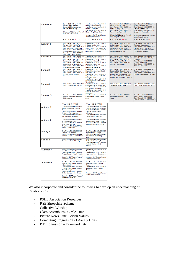| Summer 6        | Lesson 22 E-Safety; Be Safe<br><b>Lesson 23 Eid Mubarak</b><br><b>Lesson 24 Playtime Games</b><br>Lesson 25 Litter Bug<br><b>Shropshire RSE Respect Yourself</b><br>used alongside scheme.                                                                                | Core Theme 3 Unit 3 LESSON 1:<br>Money - Grows on Trees?<br>Core Theme 3 Unit 3 LESSON 2:<br>Money - Coining it in!<br>Core Theme 3 Unit 3 LESSON 3:<br>Money - Keep Money Safe<br><b>Shropshire RSE Respect Yourself</b><br>used alongside scheme.                      | Core Theme 3 Unit 3 LESSON 1:<br>Money - Grows on Trees?<br>Core Theme 3 Unit 3 LESSON 2:<br>Money - Coining it in!<br>Core Theme 3 Unit 3 LESSON 3:<br>Money - Keep Money Safe<br><b>Shropshire RSE Respect Yourself</b><br>used alongside scheme. | Core Theme 3 Unit 3 LESSON 4:<br>Money - Shopping List<br>Core Theme 3 Unit 3 LESSON 5:<br>Choices - This or That?<br>Core Theme 3 Unit 3 LESSON 6:<br>Enterprise - Dragons' Den<br>Shropshire RSE Respect Yourself<br>used alongside scheme. |  |
|-----------------|---------------------------------------------------------------------------------------------------------------------------------------------------------------------------------------------------------------------------------------------------------------------------|--------------------------------------------------------------------------------------------------------------------------------------------------------------------------------------------------------------------------------------------------------------------------|-----------------------------------------------------------------------------------------------------------------------------------------------------------------------------------------------------------------------------------------------------|-----------------------------------------------------------------------------------------------------------------------------------------------------------------------------------------------------------------------------------------------|--|
|                 | <b>CYCLE A Y2/3</b>                                                                                                                                                                                                                                                       | <b>CYCLE B Y2/3</b>                                                                                                                                                                                                                                                      | <b>CYCLE A Y4/5</b>                                                                                                                                                                                                                                 | <b>CYCLE B Y4/5</b>                                                                                                                                                                                                                           |  |
| <b>Autumn 1</b> | Core Theme 2 Unit 3 LESSON 1:<br>Fair and Unfair - It's Not Fair!<br>Core Theme 2 Unit 3 LESSON 4:<br>Right and Wrong - In the Right<br>Core Theme 1 Unit 5 LESSON 7:<br>Staying Safe - I Don't Know You<br>Core Theme 1 Unit 5 LESSON 3:<br>Drug Safety - Magic Medicine | Core Theme 1 Unit 6 LESSON 1:<br>E-Safety - Online Chat<br>Core Theme 1 Unit 6 LESSON 2:<br>Online Privacy - The Secrets Jar<br>Core Theme 1 Unit 6 LESSON 3:<br>Online Privacy - E-Protec                                                                               | Core Theme 1 Unit 6 LESSON 4:<br>Online Privacy - It's Personal<br>Core Theme 1 Unit 6 LESSON 5:<br>Internet Use - Online Usage<br>Core Theme 1 Unit 6 LESSON 6:<br>Internet Use - Age Limits                                                       | Core Theme 3 Unit 1 LESSON 1:<br>Structure - Just Imagine<br>Core Theme 3 Unit 1 LESSON 2:<br>Law and Order - In Charge<br>Core Theme 3 Unit 1 LESSON 3:<br>U.N. Rights - Our Right                                                           |  |
| <b>Autumn 2</b> | Core Theme 1 Unit 4 LESSON 5<br>Consequences - Good v Bad<br>Core Theme 2 Unit 1 LESSON 4:<br>Co-operation - Negotiation<br>Core Theme 2 Unit 1 LESSON 5:<br>Co-operation - Want to Play?<br>Core Theme 2 Unit 1 LESSON 6:<br>Co-operation - Let's Debatel                | Core Theme 2 Unit 5 LESSON 1:<br>Friendship - Best Features<br>Core Theme 2 Unit 5 LESSON 2:<br>Friendship - Circles Time<br>Core Theme 2 Unit 5 LESSON 3:<br>Friendship - Falling Out<br>Core Theme 2 Unit 5 LESSON 4:<br>Friendship - The BAFAs                        | Core Theme 3 Unit 3 LESSON 1:<br>Gender Stereotypes - His and Hers<br>Core Theme 2 Unit 3 LESSON 2:<br>Self-Worth - I'm a Marvell<br>Core Theme 1 Unit 5 LESSON 5:<br>Feelings - Overreacting                                                       | Core Theme 2 Unit 4 LESSON 5:<br>Online Relationships - A Risky<br><b>Business</b><br>Core Theme 1 Unit 5 LESSON 1:<br>Drugs - Just Say No!<br>Core Theme 1 Unit 5 LESSON 2:<br><b>Alcohol - Drink Aware</b>                                  |  |
| <b>Spring 3</b> | Core Theme 1 Unit 2 LESSON 1<br>Food Choices - Secret Eaters<br>Core Theme 2 Unit 4 LESSON 1:<br>Physical Contact - Touch<br>Sensitive                                                                                                                                    | Core Theme 1 Unit 1 LESSON 1:<br>Physical, Emotional and Mental -<br>I Am Who I Am!<br>Core Theme 1 Unit 1 LESSON 2:<br>Physical, Emotional and Mental -<br><b>Hearts and Minds</b><br>Core Theme 1 Unit 1 LESSON 3:<br>Physical, Emotional and Mental -<br>Three in One | Core Theme 1 Unit 3 LESSON 2: A<br>Balanced Diet - Balancing Act<br>Core Theme 1 Unit 3 LESSON 3:<br>Working With Food - Master Chef<br>Core Theme 1 Unit 3 LESSON 4:<br>Working With Food - Our Food Hall                                          | Core Theme 1 Unit 5 LESSON 3:<br>Tobacco - Up in Smoke<br>Core Theme 1 Unit 5 LESSON 4:<br>Substance Abuse - Let's Be Frank                                                                                                                   |  |
| <b>Spring 4</b> | Core Theme 1 Unit 5 LESSON 5:<br>Basic First-Aid - First Aids Tip                                                                                                                                                                                                         | Core Theme 2 Unit 1 LESSON 1:<br>Clear Messages - Dot Dot Dash<br>Core Theme 2 Unit 1 LESSON 2:<br>How to Listen - Listen Up!<br>Core Theme 3 Unit 2 LESSON 1:<br>Different Communities - My<br>Community                                                                | Core Theme 1 Unit 5 LESSON 6:<br>Self-Respect - Let's Rock!                                                                                                                                                                                         | Core Theme 1 Unit 5 LESSON 5:<br>Basic First-Aid - First Aids Tip                                                                                                                                                                             |  |
| Summer 5        | Core Theme 1 Unit 1 LESSON 1:<br>Physical, Emotional and Mental -<br>3-Dimensional                                                                                                                                                                                        | Core Theme 2 Unit 1 LESSON 3:<br>Responding to Others - Agony<br>Aunts                                                                                                                                                                                                   | Core Theme 2 Unit 1 LESSON 3:<br>Responding to Others - Agony<br>Aunts                                                                                                                                                                              | Core Theme 1 Unit 2 LESSON 1:<br>Food Choices - Secret Eaters<br>Core Theme 2 Unit 4 LESSON 1:<br>Physical Contact - Touch Sensitive                                                                                                          |  |
|                 | <b>CYCLE A Y5/6</b>                                                                                                                                                                                                                                                       | <b>CYCLE B Y5/6</b>                                                                                                                                                                                                                                                      |                                                                                                                                                                                                                                                     |                                                                                                                                                                                                                                               |  |
| <b>Autumn 1</b> | Core Theme 2 Unit 4 LESSON 5:<br>Online Relationships - A Risky<br><b>Business</b><br>Core Theme 3 Unit 1 LESSON 1:<br>Structure - Just Imagine<br>Core Theme 3 Unit 1 LESSON 2:<br>Law and Order - In Charge                                                             | Core Theme 1 Unit 3 LESSON 1:<br><b>Identified Strengths - Big Dreams</b><br>Core Theme 1 Unit 3 LESSON 2:<br><b>Identified Strengths - Big</b><br>Achievers<br>Core Theme 1 Unit 5 LESSON 6:<br>Internet Safety - Fake New                                              |                                                                                                                                                                                                                                                     |                                                                                                                                                                                                                                               |  |
| <b>Autumn 2</b> | Core Theme 3 Unit 1 LESSON 3:<br>U.N. Rights - Our Right<br>Core Theme 1 Unit 5 LESSON 1:<br>Drugs - Just Say No!<br>Core Theme 1 Unit 5 LESSON 2:<br>Alcohol - Drink Aware                                                                                               | Core Theme 1 Unit 3 LESSON 3:<br>Setting Goals - 'Super Futures'<br>Core Theme 1 Unit 3 LESSON 4:<br>Setting Goals - I Can Do That!                                                                                                                                      |                                                                                                                                                                                                                                                     |                                                                                                                                                                                                                                               |  |
| Spring 3        | Core Theme 1 Unit 5 LESSON 3:<br>Tobacco - Up in Smoke<br>Core Theme 1 Unit 5 LESSON 4:<br>Substance Abuse - Let's Be Frank                                                                                                                                               | Core Theme 1 Unit 1 LESSON 4:<br>Physical Illness - Bleugh!<br>Core Theme 1 Unit 1 LESSON 6:<br>Immunisation - One Sharp<br><b>Scratch</b>                                                                                                                               |                                                                                                                                                                                                                                                     |                                                                                                                                                                                                                                               |  |
| <b>Spring 4</b> | Core Theme 1 Unit 5 LESSON 5:<br>Basic First-Aid - First Aids Tip                                                                                                                                                                                                         | Core Theme 1 Unit 1 LESSON 5:<br><b>Healthy Minds - Young Minds</b><br>Core Theme 2 Unit 4 LESSON 4:<br>Mental Wellbeing - Mind<br><b>Business</b>                                                                                                                       |                                                                                                                                                                                                                                                     |                                                                                                                                                                                                                                               |  |
| Summer 5        | Core Theme 1 Unit 2 LESSON 1:<br><b>Food Choices - Secret Eaters</b><br>Core Theme 2 Unit 4 LESSON 1:<br><b>Physical Contact - Touch Sensitive</b>                                                                                                                        | Core Theme 2 Unit 4 LESSON 3:<br>Marriage - I Promise<br>Core Theme 2 Unit 4 LESSON 2:<br>Support and Care - Connections                                                                                                                                                 |                                                                                                                                                                                                                                                     |                                                                                                                                                                                                                                               |  |
|                 | Shropshire RSE Respect Yourself<br>used alongside scheme.                                                                                                                                                                                                                 | <b>Shropshire RSE Respect Yourself</b><br>used alongside scheme.                                                                                                                                                                                                         |                                                                                                                                                                                                                                                     |                                                                                                                                                                                                                                               |  |
| Summer 6        | Core Theme 1 Unit 1 LESSON 1:<br>Physical, Emotional and Mental -<br>3-Dimensional<br>Core Theme 1 Unit 1 LESSON 2:<br>Physical, Emotional and Mental-<br>What's Puberty?<br>Core Theme 1 Unit 1 LESSON 3:                                                                | Core Theme 3 Unit 4 LESSON 1:<br>Generating Income - Making<br>Money<br>Core Theme 3 Unit 4 LESSON 2:<br><b>Generating Income - Raising</b><br><b>Money</b>                                                                                                              |                                                                                                                                                                                                                                                     |                                                                                                                                                                                                                                               |  |

We also incorporate and consider the following to develop an understanding of Relationships:

- PSHE Association Resources
- RSE Shropshire Scheme
- Collective Worship
- Class Assemblies / Circle Time
- Picture News inc. British Values
- Computing Progression E-Safety Units
- P.E progression Teamwork, etc.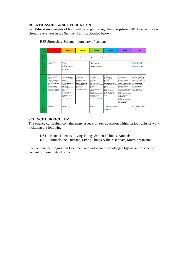## **RELATIONSHIPS & SEX EDUCATION**

**Sex Education** elements of RSE will be taught through the Shropshire RSE Scheme in Year Groups every year in the Summer Term as detailed below:

- RSE Shropshire Scheme – summary of content

| <b>Year</b><br>Group                | <b>EYES</b>                                                                                                                                                                                                                                                                    | Year <sub>1</sub>                                                                                                                                                                                                                                                                                                                                      | Year <sub>2</sub>                                                                                                                                                                              | Year <sub>3</sub>                                                                                                                                                                                                                                                                                                              | Year 4                                                                                                                                                                                                                                                                           | Year 5                                                                                                                                                                                                                                                                                                                                                                                                                                        | Year <sub>6</sub>                                                                                                                                                                                                                                               |  |  |
|-------------------------------------|--------------------------------------------------------------------------------------------------------------------------------------------------------------------------------------------------------------------------------------------------------------------------------|--------------------------------------------------------------------------------------------------------------------------------------------------------------------------------------------------------------------------------------------------------------------------------------------------------------------------------------------------------|------------------------------------------------------------------------------------------------------------------------------------------------------------------------------------------------|--------------------------------------------------------------------------------------------------------------------------------------------------------------------------------------------------------------------------------------------------------------------------------------------------------------------------------|----------------------------------------------------------------------------------------------------------------------------------------------------------------------------------------------------------------------------------------------------------------------------------|-----------------------------------------------------------------------------------------------------------------------------------------------------------------------------------------------------------------------------------------------------------------------------------------------------------------------------------------------------------------------------------------------------------------------------------------------|-----------------------------------------------------------------------------------------------------------------------------------------------------------------------------------------------------------------------------------------------------------------|--|--|
| Questions<br>Asking                 | Each year group is taught how to access help, support and advice.                                                                                                                                                                                                              |                                                                                                                                                                                                                                                                                                                                                        |                                                                                                                                                                                                |                                                                                                                                                                                                                                                                                                                                |                                                                                                                                                                                                                                                                                  |                                                                                                                                                                                                                                                                                                                                                                                                                                               |                                                                                                                                                                                                                                                                 |  |  |
| Challenges (Consent)<br>Choices and | Personal space and<br>touching.                                                                                                                                                                                                                                                | KS1<br>Car wash<br>Caring for pets<br>People who care fro us<br>Story time<br><b>Body outline</b>                                                                                                                                                                                                                                                      |                                                                                                                                                                                                | KS2<br>Create a character<br>Conscience alley<br>Overheard conversation                                                                                                                                                                                                                                                        |                                                                                                                                                                                                                                                                                  |                                                                                                                                                                                                                                                                                                                                                                                                                                               | How to access help.<br>support and advice.<br>Appropriate sources of<br>information.                                                                                                                                                                            |  |  |
| Changes                             | 11 Safe and Unsafe touch<br>L2 Caring for pets<br><b>L3 Families</b><br><b>L4 Caring for Babies</b><br>People who care for us-<br>different families, same<br>love<br>Caring for babies -<br>introducing scientific<br>vocabulary for body parts:<br>penis, vagina, testicles. | L1 Amazing Me<br><b>L2 Same but Different</b><br>13 Animals & their Rahies<br><b>Resources:</b><br>Me as a baby<br>Song: 'head, shoulders,<br>knees, toes."<br>'tham hones'<br>Same but different V1<br><b>Baby animals</b><br><b>Book:</b><br>Mummy never told me<br><b>Boys and girls</b><br>Living and non living<br>thines<br>DVD: SENSE KS1 clips | 11 Lean do<br>L2 Being Safe<br>Resources:<br>Book: Boys& girls<br>What can I do<br>Growing up sequence<br>Same but different V2<br>Animals M or F<br><b>Body words</b><br>DVD: SENSE KS1 clips | L1 Growing Up<br><b>L2 Changes</b><br><b>L3 Facts and Fiction</b><br><b>Resources:</b><br>When you grow up<br>Sort the changes<br>When you grow up trigger<br>question<br>Book:<br>Your Mummy eat my<br>football<br>Lifecycle<br>What do things come from<br>Life support systems<br>Human lifecycle<br>DVD:SENSE KS1 & 2 dips | L1 Lifecycle<br><b>L2 Keeping Safe</b><br><b>Knowing Our Bodies</b><br>13 Periods<br><b>Resources:</b><br>Same but different V3<br>Ages and Stages-human<br>lifecycle<br>How do we change<br>Lifecycle<br>Inside our bodies<br>Check out changes<br>Periods what do you<br>know? | <b>L1 Puberty</b><br><b>L2 Menstruation</b><br><b>L3 Reproduction</b><br>L4 Pregnancy & Birth<br><b>Puberty Quiz</b><br>Puberty myths & products<br>Periods what do you know<br>Menstruation cards<br>X ray diagram<br>How does a baby is made<br>Reproduction parts of<br>body<br>Reproduction word search<br>Nine months match<br>Contraception &<br>pregnancy<br>Puberty and reproduction<br>How a baby is born<br><b>Baby actual size</b> | Changes - Creating a<br>character, Changes over<br>time through to age 14.<br>Puberty- emotional and<br>physical changes.<br>Knowing our bodies-<br>internal and external<br>reproductive organs.<br>Body vocabulary -<br>acceptable and<br>unacceptable words. |  |  |
| Care and<br>Commitment              | <b>Respecting others' likes</b><br>and dislikes.                                                                                                                                                                                                                               | KS1<br>Hygiene                                                                                                                                                                                                                                                                                                                                         |                                                                                                                                                                                                | KS2<br>Friendship                                                                                                                                                                                                                                                                                                              | <b>V4 8 5</b><br>L1 Healthy Choice Challenge<br>L2 What and Who helps<br><b>L3 Celebrating</b>                                                                                                                                                                                   |                                                                                                                                                                                                                                                                                                                                                                                                                                               | Valuing ourselves - special<br>me, special you, Special<br>relationships.                                                                                                                                                                                       |  |  |

# **SCIENCE CURRICULUM**

The science curriculum contains many aspects of Sex Education within various units of work, including the following:

- KS1 Plants, Humans, Living Things & their Habitats, Animals
- KS2 Animals inc. Humans, Living Things & their Habitats, Micro-organisms

See the Science Progression Document and individual Knowledge Organisers for specific content of these units of work.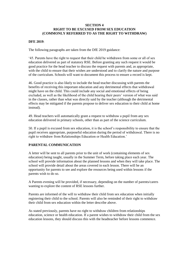## **SECTION 4 RIGHT TO BE EXCUSED FROM SEX EDUCATION (COMMONLY REFERRED TO AS THE RIGHT TO WITHDRAW)**

#### **DFE 2019**:

The following paragraphs are taken from the DfE 2019 guidance:

'45. Parents have the right to request that their child be withdrawn from some or all of sex education delivered as part of statutory RSE. Before granting any such request it would be good practice for the head teacher to discuss the request with parents and, as appropriate, with the child to ensure that their wishes are understood and to clarify the nature and purpose of the curriculum. Schools will want to document this process to ensure a record is kept.

46. Good practice is also likely to include the head teacher discussing with parents the benefits of receiving this important education and any detrimental effects that withdrawal might have on the child. This could include any social and emotional effects of being excluded, as well as the likelihood of the child hearing their peers' version of what was said in the classes, rather than what was directly said by the teacher (although the detrimental effects may be mitigated if the parents propose to deliver sex education to their child at home instead).

49. Head teachers will automatically grant a request to withdraw a pupil from any sex education delivered in primary schools, other than as part of the science curriculum.

50. If a pupil is excused from sex education, it is the school's responsibility to ensure that the pupil receives appropriate, purposeful education during the period of withdrawal. There is no right to withdraw from Relationships Education or Health Education.'

#### **PARENTAL COMMUNICATION**

A letter will be sent to all parents prior to the unit of work (containing elements of sex education) being taught, usually in the Summer Term, before taking place each year. The school will provide information about the planned lessons and when they will take place. The school will provide detail about the areas covered in each lesson. There will be an opportunity for parents to see and explore the resources being used within lessons if the parents wish to do so.

A Parents evening will be provided, if necessary, depending on the number of parents/carers wanting to explore the content of RSE lessons further.

Parents are informed of the will to withdraw their child from sex education when initially registering their child to the school. Parents will also be reminded of their right to withdraw their child from sex education within the letter describe above.

As stated previously, parents have no right to withdraw children from relationships education, science or health education. If a parent wishes to withdraw their child from the sex education lessons, they should discuss this with the headteacher before lessons commence.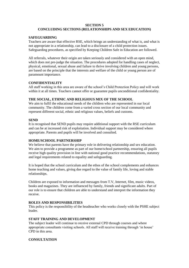#### **SECTION 5**

# **CONCLUDING SECTIONS (RELATIONSHIPS AND SEX EDUCATION)**

#### **SAFEGUARDING**

Teachers are aware that effective RSE, which brings an understanding of what is, and what is not appropriate in a relationship, can lead to a disclosure of a child protection issues. Safeguarding procedures, as specified by Keeping Children Safe in Education are followed.

All referrals, whatever their origin are taken seriously and considered with an open mind, which does not pre-judge the situation. The procedures adopted for handling cases of neglect, physical, emotional, sexual abuse and failure to thrive involving children and young persons, are based on the principle that the interests and welfare of the child or young person are of paramount importance.

# **CONFIDENTIALITY**

All staff working in this area are aware of the school's Child Protection Policy and will work within it at all times. Teachers cannot offer or guarantee pupils unconditional confidentiality.

## **THE SOCIAL, ETHNIC AND RELIGIOUS MIX OF THE SCHOOL**

We aim to fulfil the educational needs of the children who are represented in our local community. The children come from a varied cross section of our local community and represent different social, ethnic and religious values, beliefs and customs.

#### **SEND**

It is recognised that SEND pupils may require additional support with the RSE curriculum and can be at increased risk of exploitation. Individual support may be considered where appropriate. Parents and pupils will be involved and consulted.

#### **HOME/SCHOOL PARTNERSHIP**

We believe that parents have the primary role in delivering relationship and sex education. We aim to provide a programme as part of our home/school partnership, ensuring all pupils receive high quality provision in line with national good practice recommendations, statutory and legal requirements related to equality and safeguarding.

It is hoped that the school curriculum and the ethos of the school complements and enhances home teaching and values, giving due regard to the value of family life, loving and stable relationships.

Children are exposed to information and messages from T.V, Internet, film, music videos, books and magazines. They are influenced by family, friends and significant adults. Part of our role is to ensure that children are able to understand and interpret the information they receive.

#### **ROLES AND RESPONSIBILITIES**

This policy is the responsibility of the headteacher who works closely with the PSHE subject leader.

#### **STAFF TRAINING AND DEVELOPMENT**

The subject leader will continue to receive external CPD through courses and where appropriate consultants visiting schools. All staff will receive training through 'in house' CPD in this area.

#### **CONSULTATION**